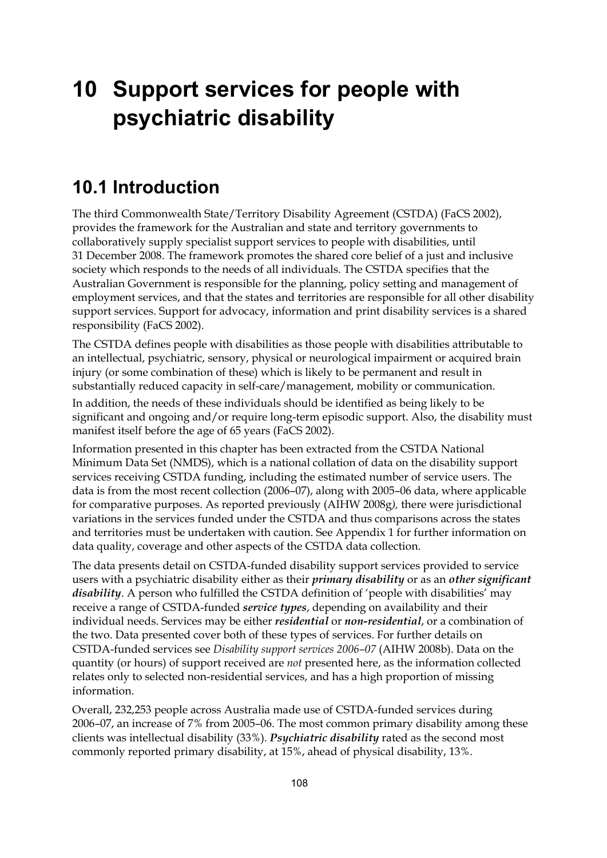# **10 Support services for people with psychiatric disability**

### **10.1 Introduction**

The third Commonwealth State/Territory Disability Agreement (CSTDA) (FaCS 2002), provides the framework for the Australian and state and territory governments to collaboratively supply specialist support services to people with disabilities, until 31 December 2008. The framework promotes the shared core belief of a just and inclusive society which responds to the needs of all individuals. The CSTDA specifies that the Australian Government is responsible for the planning, policy setting and management of employment services, and that the states and territories are responsible for all other disability support services. Support for advocacy, information and print disability services is a shared responsibility (FaCS 2002).

The CSTDA defines people with disabilities as those people with disabilities attributable to an intellectual, psychiatric, sensory, physical or neurological impairment or acquired brain injury (or some combination of these) which is likely to be permanent and result in substantially reduced capacity in self-care/management, mobility or communication.

In addition, the needs of these individuals should be identified as being likely to be significant and ongoing and/or require long-term episodic support. Also, the disability must manifest itself before the age of 65 years (FaCS 2002).

Information presented in this chapter has been extracted from the CSTDA National Minimum Data Set (NMDS), which is a national collation of data on the disability support services receiving CSTDA funding, including the estimated number of service users. The data is from the most recent collection (2006–07), along with 2005–06 data, where applicable for comparative purposes. As reported previously (AIHW 2008g*),* there were jurisdictional variations in the services funded under the CSTDA and thus comparisons across the states and territories must be undertaken with caution. See Appendix 1 for further information on data quality, coverage and other aspects of the CSTDA data collection.

The data presents detail on CSTDA-funded disability support services provided to service users with a psychiatric disability either as their *primary disability* or as an *other significant disability*. A person who fulfilled the CSTDA definition of 'people with disabilities' may receive a range of CSTDA-funded *service types*, depending on availability and their individual needs. Services may be either *residential* or *non-residential*, or a combination of the two. Data presented cover both of these types of services. For further details on CSTDA-funded services see *Disability support services 2006–07* (AIHW 2008b). Data on the quantity (or hours) of support received are *not* presented here, as the information collected relates only to selected non-residential services, and has a high proportion of missing information.

Overall, 232,253 people across Australia made use of CSTDA-funded services during 2006–07, an increase of 7% from 2005–06. The most common primary disability among these clients was intellectual disability (33%). *Psychiatric disability* rated as the second most commonly reported primary disability, at 15%, ahead of physical disability, 13%.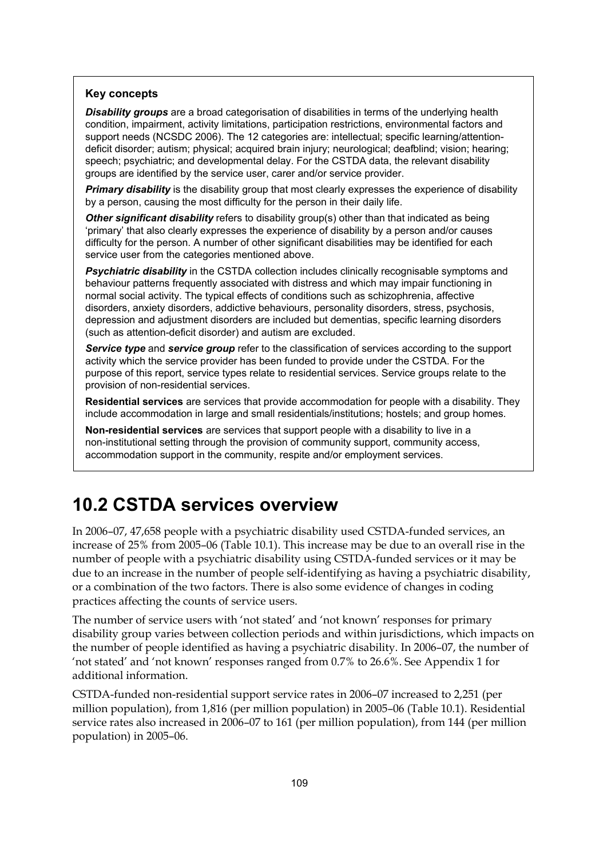#### **Key concepts**

*Disability groups* are a broad categorisation of disabilities in terms of the underlying health condition, impairment, activity limitations, participation restrictions, environmental factors and support needs (NCSDC 2006). The 12 categories are: intellectual; specific learning/attentiondeficit disorder; autism; physical; acquired brain injury; neurological; deafblind; vision; hearing; speech; psychiatric; and developmental delay. For the CSTDA data, the relevant disability groups are identified by the service user, carer and/or service provider.

**Primary disability** is the disability group that most clearly expresses the experience of disability by a person, causing the most difficulty for the person in their daily life.

**Other significant disability** refers to disability group(s) other than that indicated as being 'primary' that also clearly expresses the experience of disability by a person and/or causes difficulty for the person. A number of other significant disabilities may be identified for each service user from the categories mentioned above.

**Psychiatric disability** in the CSTDA collection includes clinically recognisable symptoms and behaviour patterns frequently associated with distress and which may impair functioning in normal social activity. The typical effects of conditions such as schizophrenia, affective disorders, anxiety disorders, addictive behaviours, personality disorders, stress, psychosis, depression and adjustment disorders are included but dementias, specific learning disorders (such as attention-deficit disorder) and autism are excluded.

*Service type* and *service group* refer to the classification of services according to the support activity which the service provider has been funded to provide under the CSTDA. For the purpose of this report, service types relate to residential services. Service groups relate to the provision of non-residential services.

**Residential services** are services that provide accommodation for people with a disability. They include accommodation in large and small residentials/institutions; hostels; and group homes.

**Non-residential services** are services that support people with a disability to live in a non-institutional setting through the provision of community support, community access, accommodation support in the community, respite and/or employment services.

### **10.2 CSTDA services overview**

In 2006–07, 47,658 people with a psychiatric disability used CSTDA-funded services, an increase of 25% from 2005–06 (Table 10.1). This increase may be due to an overall rise in the number of people with a psychiatric disability using CSTDA-funded services or it may be due to an increase in the number of people self-identifying as having a psychiatric disability, or a combination of the two factors. There is also some evidence of changes in coding practices affecting the counts of service users.

The number of service users with 'not stated' and 'not known' responses for primary disability group varies between collection periods and within jurisdictions, which impacts on the number of people identified as having a psychiatric disability. In 2006–07, the number of 'not stated' and 'not known' responses ranged from 0.7% to 26.6%. See Appendix 1 for additional information.

CSTDA-funded non-residential support service rates in 2006–07 increased to 2,251 (per million population), from 1,816 (per million population) in 2005–06 (Table 10.1). Residential service rates also increased in 2006–07 to 161 (per million population), from 144 (per million population) in 2005–06.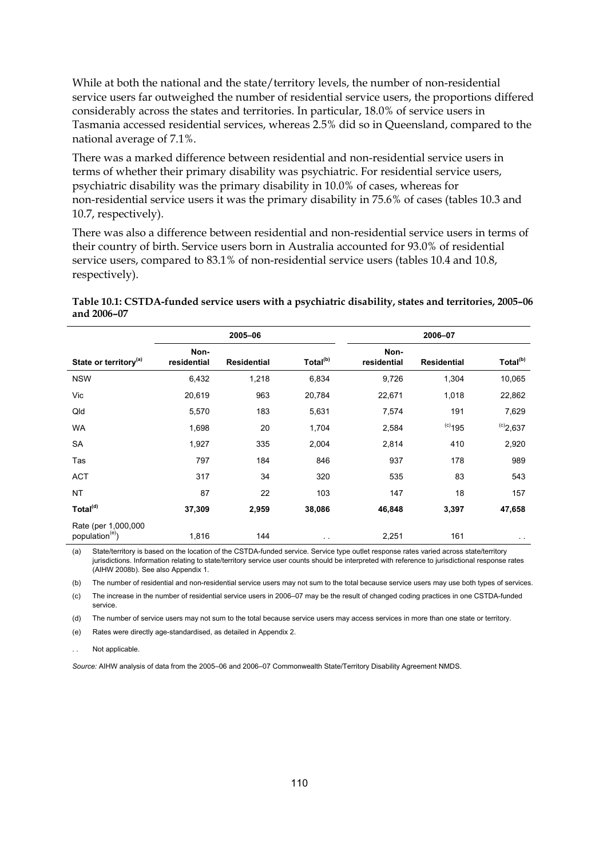While at both the national and the state/territory levels, the number of non-residential service users far outweighed the number of residential service users, the proportions differed considerably across the states and territories. In particular, 18.0% of service users in Tasmania accessed residential services, whereas 2.5% did so in Queensland, compared to the national average of 7.1%.

There was a marked difference between residential and non-residential service users in terms of whether their primary disability was psychiatric. For residential service users, psychiatric disability was the primary disability in 10.0% of cases, whereas for non-residential service users it was the primary disability in 75.6% of cases (tables 10.3 and 10.7, respectively).

There was also a difference between residential and non-residential service users in terms of their country of birth. Service users born in Australia accounted for 93.0% of residential service users, compared to 83.1% of non-residential service users (tables 10.4 and 10.8, respectively).

**Table 10.1: CSTDA-funded service users with a psychiatric disability, states and territories, 2005–06 and 2006–07** 

|                                                    |                     | 2005-06            |                      |                     | 2006-07            |                      |
|----------------------------------------------------|---------------------|--------------------|----------------------|---------------------|--------------------|----------------------|
| State or territory <sup>(a)</sup>                  | Non-<br>residential | <b>Residential</b> | Total <sup>(b)</sup> | Non-<br>residential | <b>Residential</b> | Total <sup>(b)</sup> |
| <b>NSW</b>                                         | 6,432               | 1,218              | 6,834                | 9,726               | 1,304              | 10,065               |
| Vic                                                | 20,619              | 963                | 20,784               | 22,671              | 1,018              | 22,862               |
| Qld                                                | 5,570               | 183                | 5,631                | 7,574               | 191                | 7,629                |
| <b>WA</b>                                          | 1,698               | 20                 | 1,704                | 2,584               | $(c)$ 195          | $^{(c)}2,637$        |
| SA                                                 | 1,927               | 335                | 2,004                | 2,814               | 410                | 2,920                |
| Tas                                                | 797                 | 184                | 846                  | 937                 | 178                | 989                  |
| <b>ACT</b>                                         | 317                 | 34                 | 320                  | 535                 | 83                 | 543                  |
| <b>NT</b>                                          | 87                  | 22                 | 103                  | 147                 | 18                 | 157                  |
| Total <sup>(d)</sup>                               | 37,309              | 2,959              | 38,086               | 46,848              | 3,397              | 47,658               |
| Rate (per 1,000,000<br>population <sup>(e)</sup> ) | 1,816               | 144                | $\sim$ $\sim$        | 2,251               | 161                | $\sim$ $\sim$        |

(a) State/territory is based on the location of the CSTDA-funded service. Service type outlet response rates varied across state/territory jurisdictions. Information relating to state/territory service user counts should be interpreted with reference to jurisdictional response rates (AIHW 2008b). See also Appendix 1.

(b) The number of residential and non-residential service users may not sum to the total because service users may use both types of services.

(c) The increase in the number of residential service users in 2006–07 may be the result of changed coding practices in one CSTDA-funded service.

(d) The number of service users may not sum to the total because service users may access services in more than one state or territory.

(e) Rates were directly age-standardised, as detailed in Appendix 2.

Not applicable.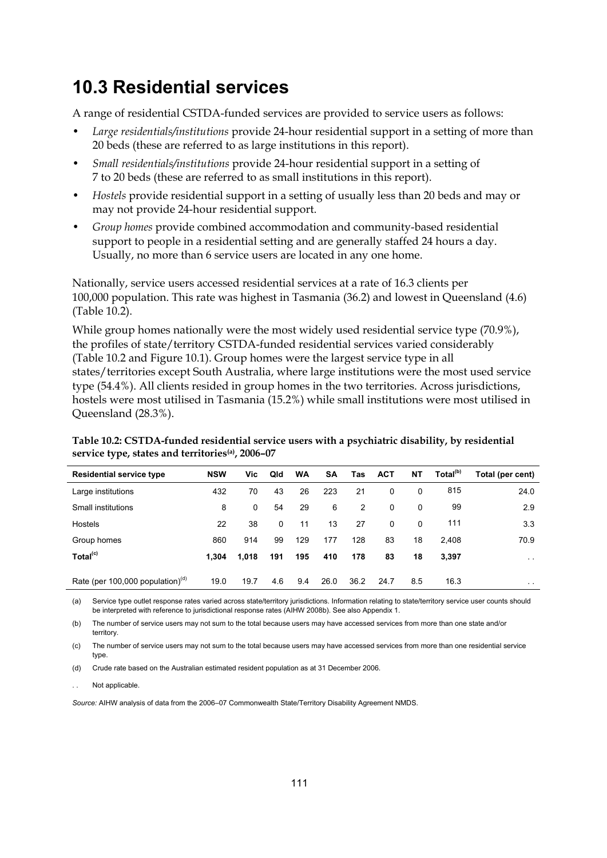## **10.3 Residential services**

A range of residential CSTDA-funded services are provided to service users as follows:

- *Large residentials/institutions* provide 24-hour residential support in a setting of more than 20 beds (these are referred to as large institutions in this report).
- *Small residentials/institutions* provide 24-hour residential support in a setting of 7 to 20 beds (these are referred to as small institutions in this report).
- *Hostels* provide residential support in a setting of usually less than 20 beds and may or may not provide 24-hour residential support.
- *Group homes* provide combined accommodation and community-based residential support to people in a residential setting and are generally staffed 24 hours a day. Usually, no more than 6 service users are located in any one home.

Nationally, service users accessed residential services at a rate of 16.3 clients per 100,000 population. This rate was highest in Tasmania (36.2) and lowest in Queensland (4.6) (Table 10.2).

While group homes nationally were the most widely used residential service type (70.9%), the profiles of state/territory CSTDA-funded residential services varied considerably (Table 10.2 and Figure 10.1). Group homes were the largest service type in all states/territories except South Australia, where large institutions were the most used service type (54.4%). All clients resided in group homes in the two territories. Across jurisdictions, hostels were most utilised in Tasmania (15.2%) while small institutions were most utilised in Queensland (28.3%).

| Table 10.2: CSTDA-funded residential service users with a psychiatric disability, by residential |  |
|--------------------------------------------------------------------------------------------------|--|
| service type, states and territories <sup>(a)</sup> , 2006-07                                    |  |

| <b>Residential service type</b>     | <b>NSW</b> | Vic.  | Qld | <b>WA</b> | <b>SA</b> | Tas  | <b>ACT</b> | NT           | Total <sup>(b)</sup> | Total (per cent) |
|-------------------------------------|------------|-------|-----|-----------|-----------|------|------------|--------------|----------------------|------------------|
| Large institutions                  | 432        | 70    | 43  | 26        | 223       | 21   | 0          | $\Omega$     | 815                  | 24.0             |
| Small institutions                  | 8          | 0     | 54  | 29        | 6         | 2    | 0          | $\mathbf{0}$ | 99                   | 2.9              |
| <b>Hostels</b>                      | 22         | 38    | 0   | 11        | 13        | 27   | 0          | $\mathbf{0}$ | 111                  | 3.3              |
| Group homes                         | 860        | 914   | 99  | 129       | 177       | 128  | 83         | 18           | 2.408                | 70.9             |
| Total <sup>(c)</sup>                | 1.304      | 1,018 | 191 | 195       | 410       | 178  | 83         | 18           | 3.397                | $\sim$           |
| Rate (per 100,000 population) $(d)$ | 19.0       | 19.7  | 4.6 | 9.4       | 26.0      | 36.2 | 24.7       | 8.5          | 16.3                 | $\sim$ $-$       |

(a) Service type outlet response rates varied across state/territory jurisdictions. Information relating to state/territory service user counts should be interpreted with reference to jurisdictional response rates (AIHW 2008b). See also Appendix 1.

(b) The number of service users may not sum to the total because users may have accessed services from more than one state and/or territory.

(c) The number of service users may not sum to the total because users may have accessed services from more than one residential service type.

(d) Crude rate based on the Australian estimated resident population as at 31 December 2006.

Not applicable.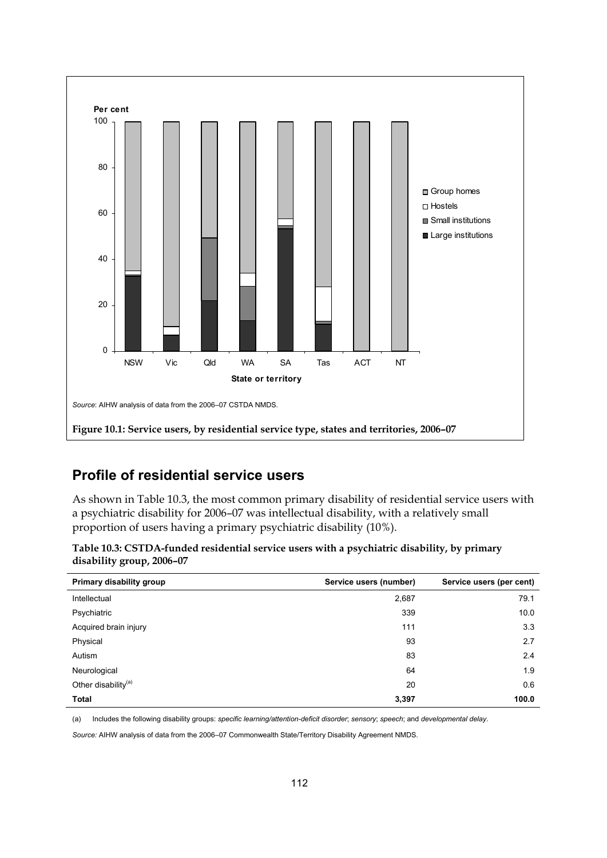

#### **Profile of residential service users**

As shown in Table 10.3, the most common primary disability of residential service users with a psychiatric disability for 2006–07 was intellectual disability, with a relatively small proportion of users having a primary psychiatric disability (10%).

| Table 10.3: CSTDA-funded residential service users with a psychiatric disability, by primary |  |
|----------------------------------------------------------------------------------------------|--|
| disability group, 2006-07                                                                    |  |

| Primary disability group        | Service users (number) | Service users (per cent) |
|---------------------------------|------------------------|--------------------------|
| Intellectual                    | 2,687                  | 79.1                     |
| Psychiatric                     | 339                    | 10.0                     |
| Acquired brain injury           | 111                    | 3.3                      |
| Physical                        | 93                     | 2.7                      |
| Autism                          | 83                     | 2.4                      |
| Neurological                    | 64                     | 1.9                      |
| Other disability <sup>(a)</sup> | 20                     | 0.6                      |
| <b>Total</b>                    | 3,397                  | 100.0                    |

(a) Includes the following disability groups: *specific learning/attention-deficit disorder*; *sensory*; *speech*; and *developmental delay*.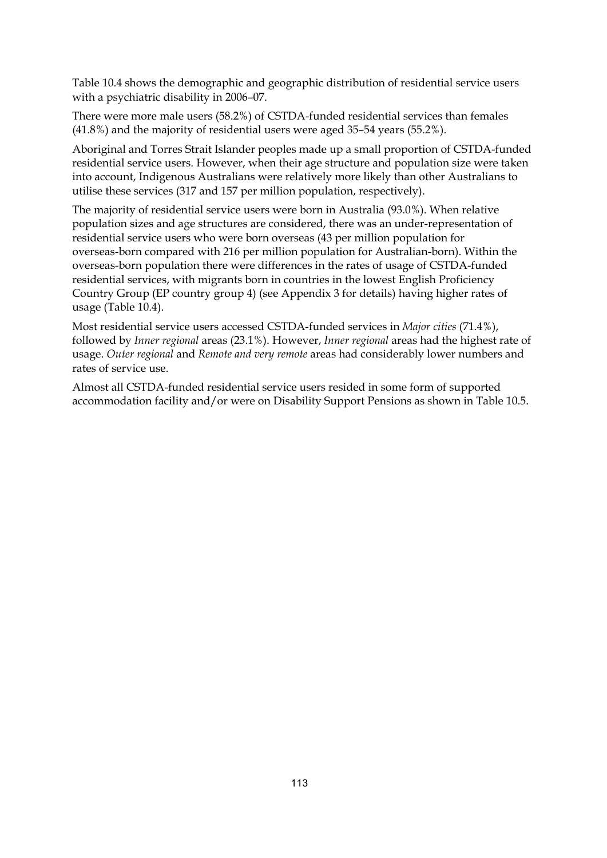Table 10.4 shows the demographic and geographic distribution of residential service users with a psychiatric disability in 2006–07.

There were more male users (58.2%) of CSTDA-funded residential services than females (41.8%) and the majority of residential users were aged 35–54 years (55.2%).

Aboriginal and Torres Strait Islander peoples made up a small proportion of CSTDA-funded residential service users. However, when their age structure and population size were taken into account, Indigenous Australians were relatively more likely than other Australians to utilise these services (317 and 157 per million population, respectively).

The majority of residential service users were born in Australia (93.0%). When relative population sizes and age structures are considered, there was an under-representation of residential service users who were born overseas (43 per million population for overseas-born compared with 216 per million population for Australian-born). Within the overseas-born population there were differences in the rates of usage of CSTDA-funded residential services, with migrants born in countries in the lowest English Proficiency Country Group (EP country group 4) (see Appendix 3 for details) having higher rates of usage (Table 10.4).

Most residential service users accessed CSTDA-funded services in *Major cities* (71.4%), followed by *Inner regional* areas (23.1%). However, *Inner regional* areas had the highest rate of usage. *Outer regional* and *Remote and very remote* areas had considerably lower numbers and rates of service use.

Almost all CSTDA-funded residential service users resided in some form of supported accommodation facility and/or were on Disability Support Pensions as shown in Table 10.5.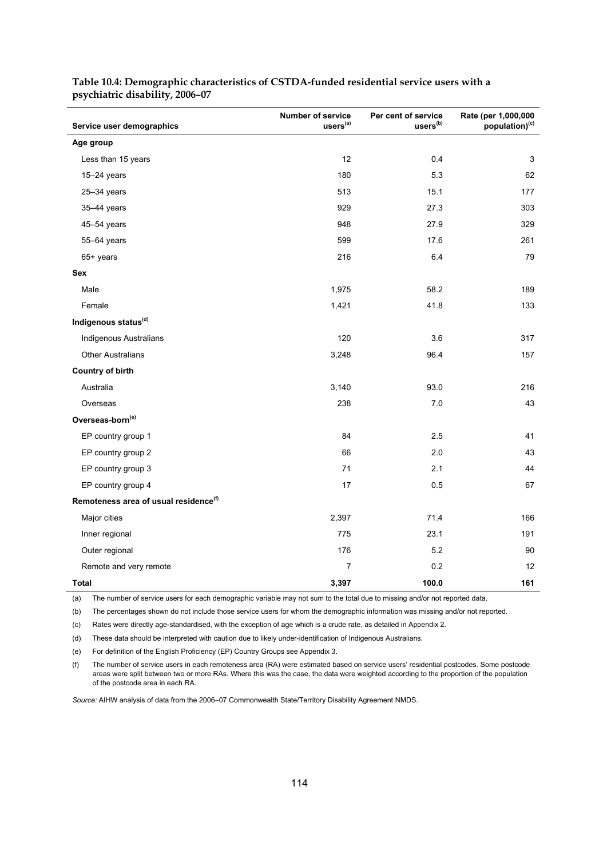| Service user demographics                         | <b>Number of service</b><br>uses <sup>(a)</sup> | Per cent of service<br>users <sup>(b)</sup> | Rate (per 1,000,000<br>population) <sup>(c)</sup> |
|---------------------------------------------------|-------------------------------------------------|---------------------------------------------|---------------------------------------------------|
| Age group                                         |                                                 |                                             |                                                   |
| Less than 15 years                                | 12                                              | 0.4                                         | 3                                                 |
| $15-24$ years                                     | 180                                             | 5.3                                         | 62                                                |
| $25 - 34$ years                                   | 513                                             | 15.1                                        | 177                                               |
| 35-44 years                                       | 929                                             | 27.3                                        | 303                                               |
| 45-54 years                                       | 948                                             | 27.9                                        | 329                                               |
| 55-64 years                                       | 599                                             | 17.6                                        | 261                                               |
| 65+ years                                         | 216                                             | 6.4                                         | 79                                                |
| Sex                                               |                                                 |                                             |                                                   |
| Male                                              | 1,975                                           | 58.2                                        | 189                                               |
| Female                                            | 1,421                                           | 41.8                                        | 133                                               |
| Indigenous status <sup>(d)</sup>                  |                                                 |                                             |                                                   |
| <b>Indigenous Australians</b>                     | 120                                             | 3.6                                         | 317                                               |
| <b>Other Australians</b>                          | 3,248                                           | 96.4                                        | 157                                               |
| <b>Country of birth</b>                           |                                                 |                                             |                                                   |
| Australia                                         | 3,140                                           | 93.0                                        | 216                                               |
| Overseas                                          | 238                                             | 7.0                                         | 43                                                |
| Overseas-born <sup>(e)</sup>                      |                                                 |                                             |                                                   |
| EP country group 1                                | 84                                              | 2.5                                         | 41                                                |
| EP country group 2                                | 66                                              | 2.0                                         | 43                                                |
| EP country group 3                                | 71                                              | 2.1                                         | 44                                                |
| EP country group 4                                | 17                                              | 0.5                                         | 67                                                |
| Remoteness area of usual residence <sup>(f)</sup> |                                                 |                                             |                                                   |
| Major cities                                      | 2,397                                           | 71.4                                        | 166                                               |
| Inner regional                                    | 775                                             | 23.1                                        | 191                                               |
| Outer regional                                    | 176                                             | 5.2                                         | 90                                                |
| Remote and very remote                            | 7                                               | 0.2                                         | 12                                                |
| <b>Total</b>                                      | 3,397                                           | 100.0                                       | 161                                               |

**Table 10.4: Demographic characteristics of CSTDA-funded residential service users with a psychiatric disability, 2006–07** 

(a) The number of service users for each demographic variable may not sum to the total due to missing and/or not reported data.

(b) The percentages shown do not include those service users for whom the demographic information was missing and/or not reported.

(c) Rates were directly age-standardised, with the exception of age which is a crude rate, as detailed in Appendix 2.

(d) These data should be interpreted with caution due to likely under-identification of Indigenous Australians.

(e) For definition of the English Proficiency (EP) Country Groups see Appendix 3.

(f) The number of service users in each remoteness area (RA) were estimated based on service users' residential postcodes. Some postcode areas were split between two or more RAs. Where this was the case, the data were weighted according to the proportion of the population of the postcode area in each RA.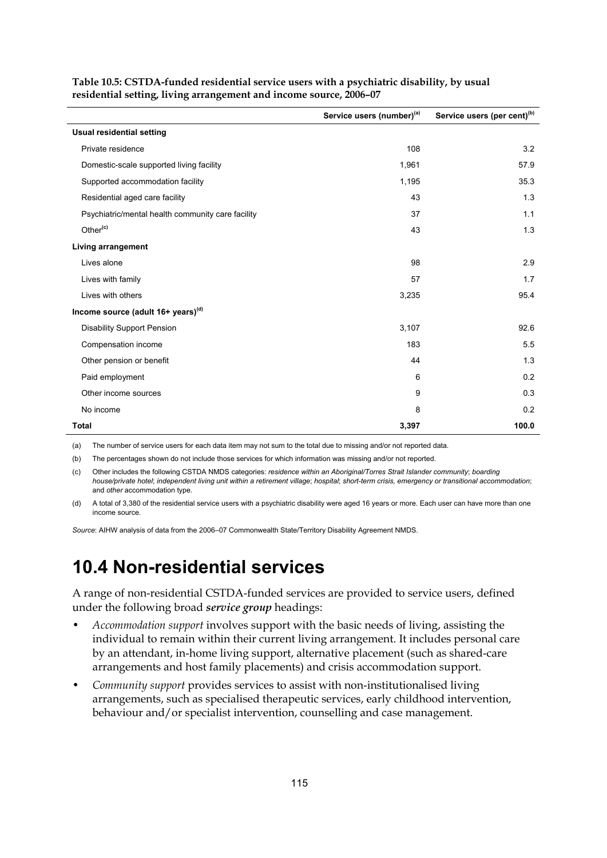|                                                   | Service users (number)(a) | Service users (per cent) <sup>(b)</sup> |
|---------------------------------------------------|---------------------------|-----------------------------------------|
| <b>Usual residential setting</b>                  |                           |                                         |
| Private residence                                 | 108                       | 3.2                                     |
| Domestic-scale supported living facility          | 1,961                     | 57.9                                    |
| Supported accommodation facility                  | 1,195                     | 35.3                                    |
| Residential aged care facility                    | 43                        | 1.3                                     |
| Psychiatric/mental health community care facility | 37                        | 1.1                                     |
| Other <sup>(c)</sup>                              | 43                        | 1.3                                     |
| Living arrangement                                |                           |                                         |
| Lives alone                                       | 98                        | 2.9                                     |
| Lives with family                                 | 57                        | 1.7                                     |
| Lives with others                                 | 3,235                     | 95.4                                    |
| Income source (adult $16+$ years) <sup>(d)</sup>  |                           |                                         |
| <b>Disability Support Pension</b>                 | 3,107                     | 92.6                                    |
| Compensation income                               | 183                       | 5.5                                     |
| Other pension or benefit                          | 44                        | 1.3                                     |
| Paid employment                                   | 6                         | 0.2                                     |
| Other income sources                              | 9                         | 0.3                                     |
| No income                                         | 8                         | 0.2                                     |
| Total                                             | 3,397                     | 100.0                                   |

**Table 10.5: CSTDA-funded residential service users with a psychiatric disability, by usual residential setting, living arrangement and income source, 2006–07** 

(a) The number of service users for each data item may not sum to the total due to missing and/or not reported data.

(b) The percentages shown do not include those services for which information was missing and/or not reported.

(c) Other includes the following CSTDA NMDS categories: *residence within an Aboriginal/Torres Strait Islander community*; *boarding house/private hotel*; *independent living unit within a retirement village*; *hospital*; *short-term crisis, emergency or transitional accommodation*; and *other* accommodation type.

(d) A total of 3,380 of the residential service users with a psychiatric disability were aged 16 years or more. Each user can have more than one income source.

*Source*: AIHW analysis of data from the 2006–07 Commonwealth State/Territory Disability Agreement NMDS.

#### **10.4 Non-residential services**

A range of non-residential CSTDA-funded services are provided to service users, defined under the following broad *service group* headings:

- *Accommodation support* involves support with the basic needs of living, assisting the individual to remain within their current living arrangement. It includes personal care by an attendant, in-home living support, alternative placement (such as shared-care arrangements and host family placements) and crisis accommodation support.
- *Community support* provides services to assist with non-institutionalised living arrangements, such as specialised therapeutic services, early childhood intervention, behaviour and/or specialist intervention, counselling and case management.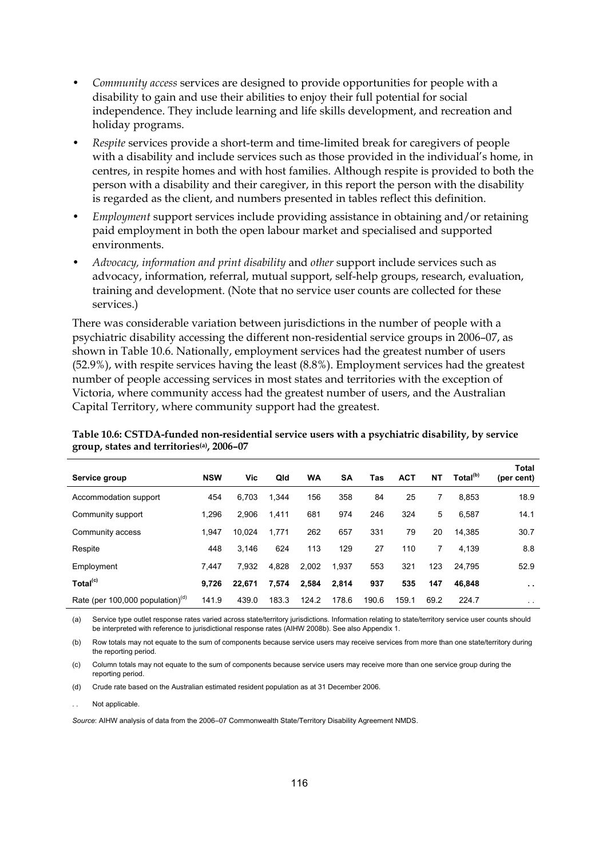- *Community access* services are designed to provide opportunities for people with a disability to gain and use their abilities to enjoy their full potential for social independence. They include learning and life skills development, and recreation and holiday programs.
- *Respite* services provide a short-term and time-limited break for caregivers of people with a disability and include services such as those provided in the individual's home, in centres, in respite homes and with host families. Although respite is provided to both the person with a disability and their caregiver, in this report the person with the disability is regarded as the client, and numbers presented in tables reflect this definition.
- *Employment* support services include providing assistance in obtaining and/or retaining paid employment in both the open labour market and specialised and supported environments.
- *Advocacy, information and print disability* and *other* support include services such as advocacy, information, referral, mutual support, self-help groups, research, evaluation, training and development. (Note that no service user counts are collected for these services.)

There was considerable variation between jurisdictions in the number of people with a psychiatric disability accessing the different non-residential service groups in 2006–07, as shown in Table 10.6. Nationally, employment services had the greatest number of users (52.9%), with respite services having the least (8.8%). Employment services had the greatest number of people accessing services in most states and territories with the exception of Victoria, where community access had the greatest number of users, and the Australian Capital Territory, where community support had the greatest.

| Service group                       | <b>NSW</b> | Vic    | Qld   | WA    | <b>SA</b> | Tas   | <b>ACT</b> | NΤ   | Total <sup>(b)</sup> | <b>Total</b><br>(per cent) |
|-------------------------------------|------------|--------|-------|-------|-----------|-------|------------|------|----------------------|----------------------------|
| Accommodation support               | 454        | 6.703  | 1,344 | 156   | 358       | 84    | 25         |      | 8.853                | 18.9                       |
| Community support                   | 1.296      | 2.906  | 1,411 | 681   | 974       | 246   | 324        | 5    | 6.587                | 14.1                       |
| Community access                    | 1.947      | 10.024 | 1,771 | 262   | 657       | 331   | 79         | 20   | 14.385               | 30.7                       |
| Respite                             | 448        | 3.146  | 624   | 113   | 129       | 27    | 110        | 7    | 4.139                | 8.8                        |
| Employment                          | 7.447      | 7,932  | 4,828 | 2,002 | 1,937     | 553   | 321        | 123  | 24.795               | 52.9                       |
| Total <sup>(c)</sup>                | 9.726      | 22.671 | 7,574 | 2,584 | 2,814     | 937   | 535        | 147  | 46.848               | $\sim$                     |
| Rate (per 100,000 population) $(d)$ | 141.9      | 439.0  | 183.3 | 124.2 | 178.6     | 190.6 | 159.1      | 69.2 | 224.7                | $\sim$ $\sim$              |

**Table 10.6: CSTDA-funded non-residential service users with a psychiatric disability, by service group, states and territories(a), 2006–07**

(a) Service type outlet response rates varied across state/territory jurisdictions. Information relating to state/territory service user counts should be interpreted with reference to jurisdictional response rates (AIHW 2008b). See also Appendix 1.

(b) Row totals may not equate to the sum of components because service users may receive services from more than one state/territory during the reporting period.

(c) Column totals may not equate to the sum of components because service users may receive more than one service group during the reporting period.

(d) Crude rate based on the Australian estimated resident population as at 31 December 2006.

Not applicable.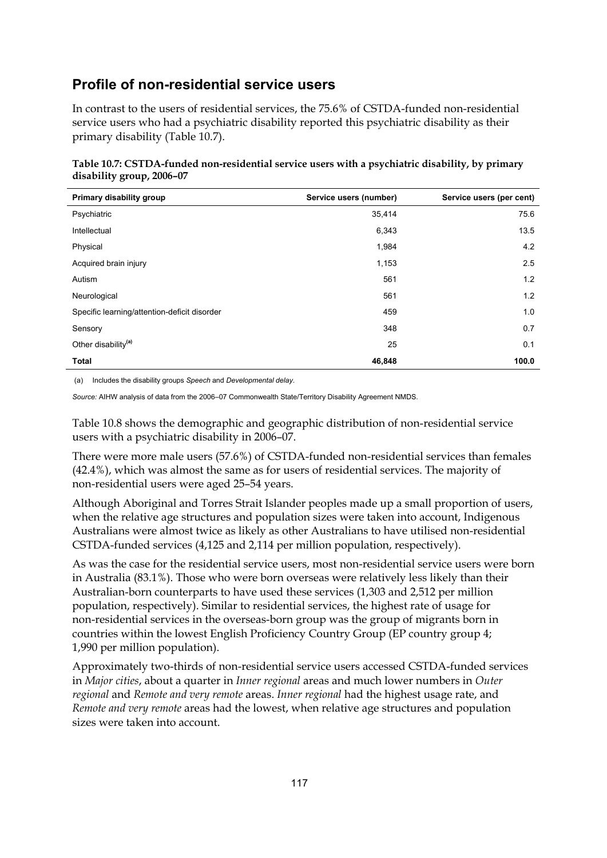#### **Profile of non-residential service users**

In contrast to the users of residential services, the 75.6% of CSTDA-funded non-residential service users who had a psychiatric disability reported this psychiatric disability as their primary disability (Table 10.7).

| Table 10.7: CSTDA-funded non-residential service users with a psychiatric disability, by primary |  |
|--------------------------------------------------------------------------------------------------|--|
| disability group, 2006-07                                                                        |  |

| Primary disability group                     | Service users (number) | Service users (per cent) |
|----------------------------------------------|------------------------|--------------------------|
| Psychiatric                                  | 35,414                 | 75.6                     |
| Intellectual                                 | 6,343                  | 13.5                     |
| Physical                                     | 1,984                  | 4.2                      |
| Acquired brain injury                        | 1,153                  | 2.5                      |
| Autism                                       | 561                    | 1.2                      |
| Neurological                                 | 561                    | 1.2                      |
| Specific learning/attention-deficit disorder | 459                    | 1.0                      |
| Sensory                                      | 348                    | 0.7                      |
| Other disability <sup>(a)</sup>              | 25                     | 0.1                      |
| <b>Total</b>                                 | 46,848                 | 100.0                    |

(a) Includes the disability groups *Speech* and *Developmental delay*.

*Source:* AIHW analysis of data from the 2006–07 Commonwealth State/Territory Disability Agreement NMDS.

Table 10.8 shows the demographic and geographic distribution of non-residential service users with a psychiatric disability in 2006–07.

There were more male users (57.6%) of CSTDA-funded non-residential services than females (42.4%), which was almost the same as for users of residential services. The majority of non-residential users were aged 25–54 years.

Although Aboriginal and Torres Strait Islander peoples made up a small proportion of users, when the relative age structures and population sizes were taken into account, Indigenous Australians were almost twice as likely as other Australians to have utilised non-residential CSTDA-funded services (4,125 and 2,114 per million population, respectively).

As was the case for the residential service users, most non-residential service users were born in Australia (83.1%). Those who were born overseas were relatively less likely than their Australian-born counterparts to have used these services (1,303 and 2,512 per million population, respectively). Similar to residential services, the highest rate of usage for non-residential services in the overseas-born group was the group of migrants born in countries within the lowest English Proficiency Country Group (EP country group 4; 1,990 per million population).

Approximately two-thirds of non-residential service users accessed CSTDA-funded services in *Major cities*, about a quarter in *Inner regional* areas and much lower numbers in *Outer regional* and *Remote and very remote* areas. *Inner regional* had the highest usage rate, and *Remote and very remote* areas had the lowest, when relative age structures and population sizes were taken into account.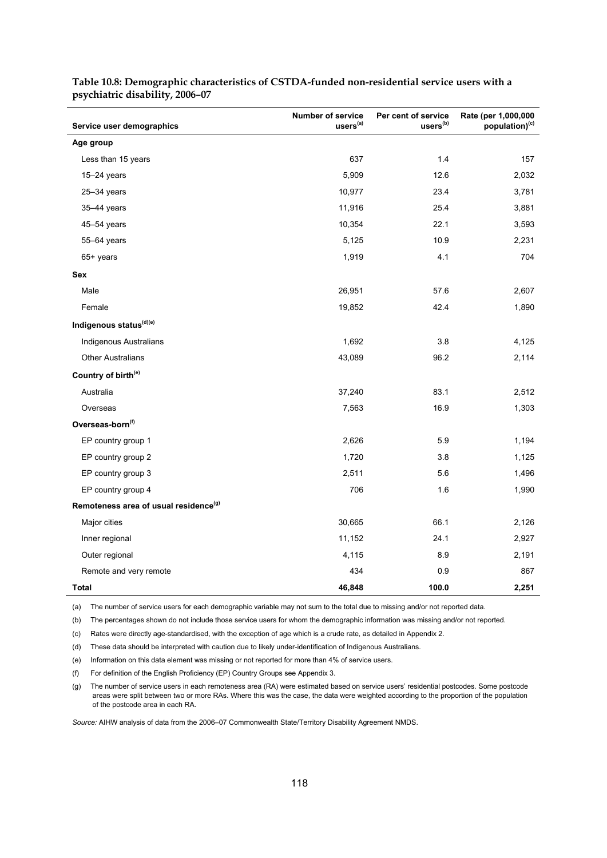| Service user demographics                         | <b>Number of service</b><br>users <sup>(a)</sup> | Per cent of service<br>users <sup>(b)</sup> | Rate (per 1,000,000<br>population) <sup>(c)</sup> |
|---------------------------------------------------|--------------------------------------------------|---------------------------------------------|---------------------------------------------------|
| Age group                                         |                                                  |                                             |                                                   |
| Less than 15 years                                | 637                                              | 1.4                                         | 157                                               |
| $15 - 24$ years                                   | 5,909                                            | 12.6                                        | 2,032                                             |
| $25 - 34$ years                                   | 10,977                                           | 23.4                                        | 3,781                                             |
| 35-44 years                                       | 11,916                                           | 25.4                                        | 3,881                                             |
| 45-54 years                                       | 10,354                                           | 22.1                                        | 3,593                                             |
| 55-64 years                                       | 5,125                                            | 10.9                                        | 2,231                                             |
| 65+ years                                         | 1,919                                            | 4.1                                         | 704                                               |
| Sex                                               |                                                  |                                             |                                                   |
| Male                                              | 26,951                                           | 57.6                                        | 2,607                                             |
| Female                                            | 19,852                                           | 42.4                                        | 1,890                                             |
| Indigenous status <sup>(d)(e)</sup>               |                                                  |                                             |                                                   |
| Indigenous Australians                            | 1,692                                            | 3.8                                         | 4,125                                             |
| <b>Other Australians</b>                          | 43,089                                           | 96.2                                        | 2,114                                             |
| Country of birth <sup>(e)</sup>                   |                                                  |                                             |                                                   |
| Australia                                         | 37,240                                           | 83.1                                        | 2,512                                             |
| Overseas                                          | 7,563                                            | 16.9                                        | 1,303                                             |
| Overseas-born <sup>(f)</sup>                      |                                                  |                                             |                                                   |
| EP country group 1                                | 2,626                                            | 5.9                                         | 1,194                                             |
| EP country group 2                                | 1,720                                            | 3.8                                         | 1,125                                             |
| EP country group 3                                | 2,511                                            | 5.6                                         | 1,496                                             |
| EP country group 4                                | 706                                              | 1.6                                         | 1,990                                             |
| Remoteness area of usual residence <sup>(g)</sup> |                                                  |                                             |                                                   |
| Major cities                                      | 30,665                                           | 66.1                                        | 2,126                                             |
| Inner regional                                    | 11,152                                           | 24.1                                        | 2,927                                             |
| Outer regional                                    | 4,115                                            | 8.9                                         | 2,191                                             |
| Remote and very remote                            | 434                                              | 0.9                                         | 867                                               |
| Total                                             | 46,848                                           | 100.0                                       | 2,251                                             |

**Table 10.8: Demographic characteristics of CSTDA-funded non-residential service users with a psychiatric disability, 2006–07** 

(a) The number of service users for each demographic variable may not sum to the total due to missing and/or not reported data.

(b) The percentages shown do not include those service users for whom the demographic information was missing and/or not reported.

(c) Rates were directly age-standardised, with the exception of age which is a crude rate, as detailed in Appendix 2.

(d) These data should be interpreted with caution due to likely under-identification of Indigenous Australians.

(e) Information on this data element was missing or not reported for more than 4% of service users.

(f) For definition of the English Proficiency (EP) Country Groups see Appendix 3.

(g) The number of service users in each remoteness area (RA) were estimated based on service users' residential postcodes. Some postcode areas were split between two or more RAs. Where this was the case, the data were weighted according to the proportion of the population of the postcode area in each RA.